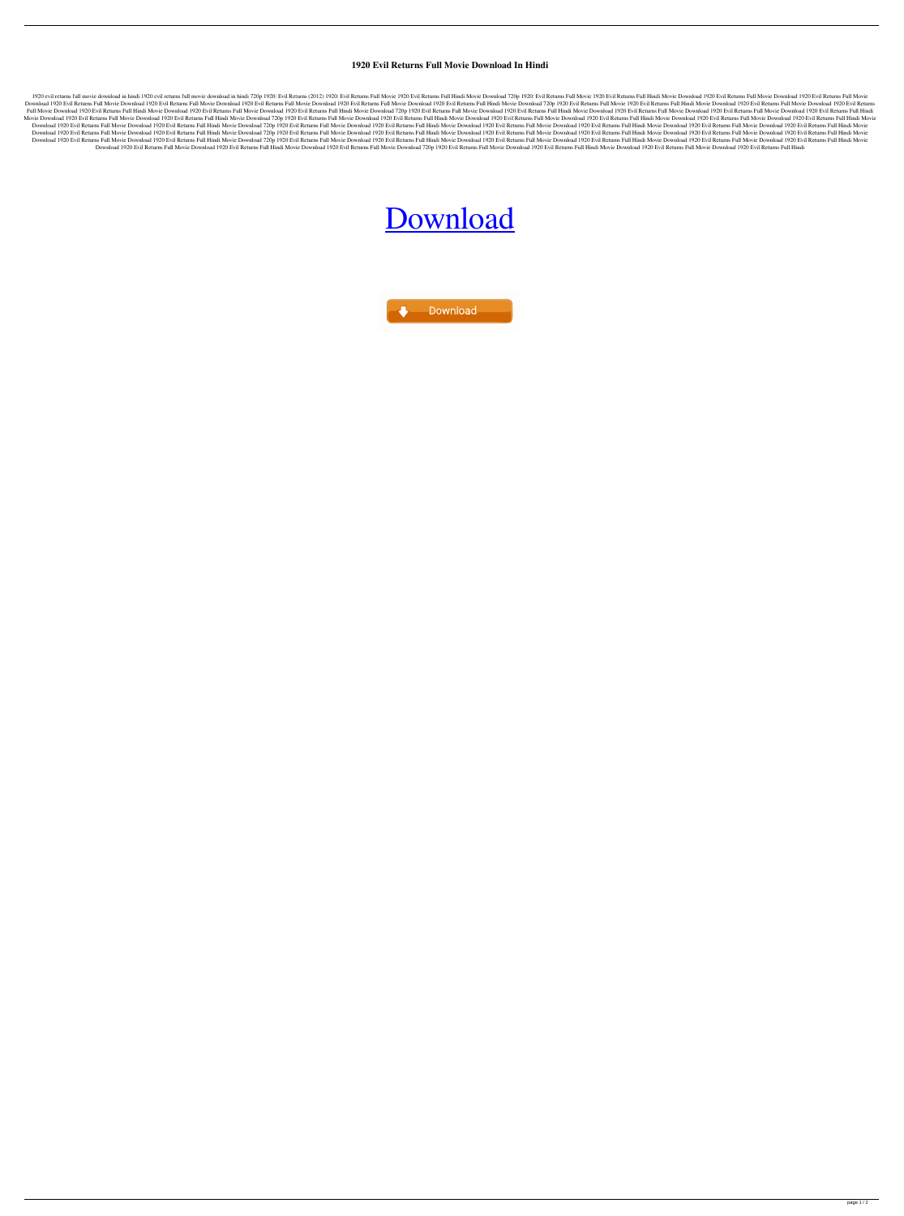## **1920 Evil Returns Full Movie Download In Hindi**

1920 evil returns full movie download in hindi 1920 evil returns full movie download in hindi 720p 1920: Evil Returns (2012) 1920: Evil Returns Full Movie Download 720p 1920: Evil Returns Full Movie 1920 Evil Returns Full Download 1920 Evil Returns Full Movie Download 1920 Evil Returns Full Movie Download 1920 Evil Returns Full Movie Download 1920 Evil Returns Full Movie Download 1920 Evil Returns Full Movie Download 1920 Evil Returns Full Full Movie Download 1920 Evil Returns Full Hindi Movie Download 1920 Evil Returns Full Movie Download 1920 Evil Returns Full Hindi Movie Download 720p 1920 Evil Returns Full Hindi Movie Download 1920 Evil Returns Full Hind Movie Download 1920 Evil Returns Full Movie Download 1920 Evil Returns Full Hindi Movie Download 720p 1920 Evil Returns Full Movie Download 1920 Evil Returns Full Movie Download 1920 Evil Returns Full Movie Download 1920 E Download 1920 Evil Returns Full Movie Download 1920 Evil Returns Full Hindi Movie Download 720p 1920 Evil Returns Full Hindi Movie Download 1920 Evil Returns Full Hindi Movie Download 1920 Evil Returns Full Hindi Movie Dow Download 1920 Evil Returns Full Movie Download 1920 Evil Returns Full Hindi Movie Download 720p 1920 Evil Returns Full Movie Download 1920 Evil Returns Full Hindi Movie Download 1920 Evil Returns Full Hindi Movie Download Download 1920 Evil Returns Full Movie Download 1920 Evil Returns Full Hindi Movie Download 720p 1920 Evil Returns Full Hindi Movie Download 1920 Evil Returns Full Movie Download 1920 Evil Returns Full Movie Download 1920 E Download 1920 Evil Returns Full Movie Download 1920 Evil Returns Full Hindi Movie Download 1920 Evil Returns Full Movie Download 1920 Evil Returns Full Movie Download 1920 Evil Returns Full Hindi Movie Download 1920 Evil R

## [Download](http://evacdir.com/ballhawk.compressibility?jonjo=ZG93bmxvYWR8ZnE2TVcxc2VueDhNVFkxTWpjME1EZzJObng4TWpVM05IeDhLRTBwSUhKbFlXUXRZbXh2WnlCYlJtRnpkQ0JIUlU1ZA&kievan=&carwash=&MTkyMCBldmlsIHJldHVybnMgZnVsbCBtb3ZpZSBkb3dubG9hZCBpbiBoaW5kaQMTk=)